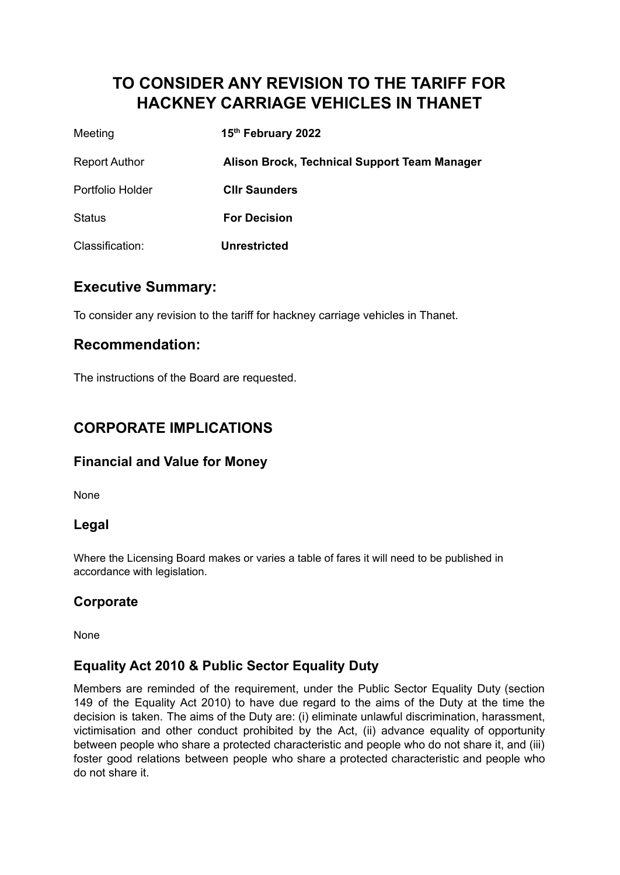# **TO CONSIDER ANY REVISION TO THE TARIFF FOR HACKNEY CARRIAGE VEHICLES IN THANET**

| Meeting              | 15th February 2022                           |
|----------------------|----------------------------------------------|
| <b>Report Author</b> | Alison Brock, Technical Support Team Manager |
| Portfolio Holder     | <b>Cllr Saunders</b>                         |
| <b>Status</b>        | <b>For Decision</b>                          |
| Classification:      | <b>Unrestricted</b>                          |

### **Executive Summary:**

To consider any revision to the tariff for hackney carriage vehicles in Thanet.

## **Recommendation:**

The instructions of the Board are requested.

# **CORPORATE IMPLICATIONS**

### **Financial and Value for Money**

None

### **Legal**

Where the Licensing Board makes or varies a table of fares it will need to be published in accordance with legislation.

### **Corporate**

None

### **Equality Act 2010 & Public Sector Equality Duty**

Members are reminded of the requirement, under the Public Sector Equality Duty (section 149 of the Equality Act 2010) to have due regard to the aims of the Duty at the time the decision is taken. The aims of the Duty are: (i) eliminate unlawful discrimination, harassment, victimisation and other conduct prohibited by the Act, (ii) advance equality of opportunity between people who share a protected characteristic and people who do not share it, and (iii) foster good relations between people who share a protected characteristic and people who do not share it.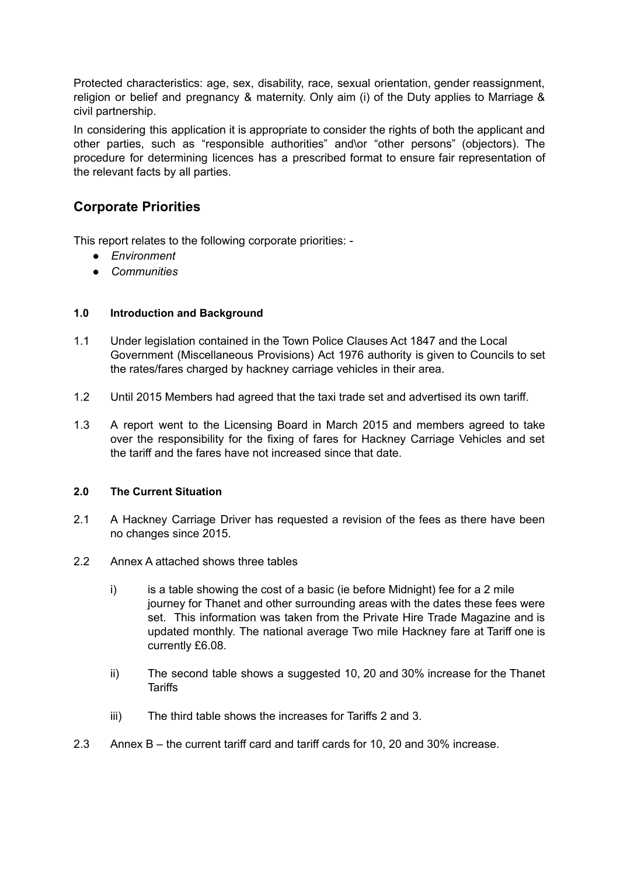Protected characteristics: age, sex, disability, race, sexual orientation, gender reassignment, religion or belief and pregnancy & maternity. Only aim (i) of the Duty applies to Marriage & civil partnership.

In considering this application it is appropriate to consider the rights of both the applicant and other parties, such as "responsible authorities" and\or "other persons" (objectors). The procedure for determining licences has a prescribed format to ensure fair representation of the relevant facts by all parties.

### **Corporate Priorities**

This report relates to the following corporate priorities: -

- *● Environment*
- *● Communities*

#### **1.0 Introduction and Background**

- 1.1 Under legislation contained in the Town Police Clauses Act 1847 and the Local Government (Miscellaneous Provisions) Act 1976 authority is given to Councils to set the rates/fares charged by hackney carriage vehicles in their area.
- 1.2 Until 2015 Members had agreed that the taxi trade set and advertised its own tariff.
- 1.3 A report went to the Licensing Board in March 2015 and members agreed to take over the responsibility for the fixing of fares for Hackney Carriage Vehicles and set the tariff and the fares have not increased since that date.

#### **2.0 The Current Situation**

- 2.1 A Hackney Carriage Driver has requested a revision of the fees as there have been no changes since 2015.
- 2.2 Annex A attached shows three tables
	- i) is a table showing the cost of a basic (ie before Midnight) fee for a 2 mile journey for Thanet and other surrounding areas with the dates these fees were set. This information was taken from the Private Hire Trade Magazine and is updated monthly. The national average Two mile Hackney fare at Tariff one is currently £6.08.
	- ii) The second table shows a suggested 10, 20 and 30% increase for the Thanet **Tariffs**
	- iii) The third table shows the increases for Tariffs 2 and 3.
- 2.3 Annex B the current tariff card and tariff cards for 10, 20 and 30% increase.